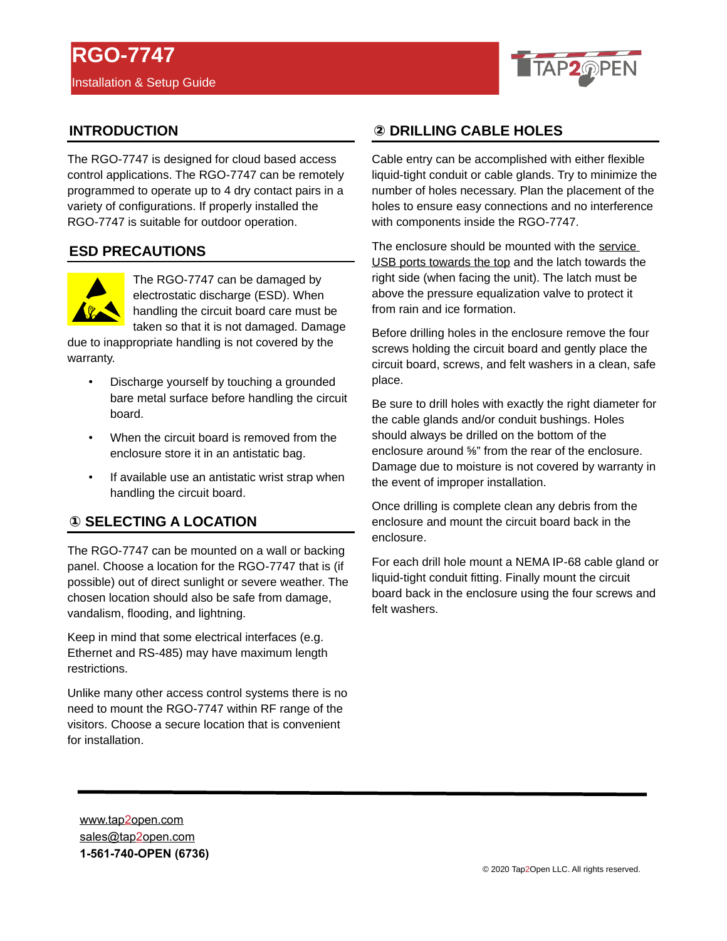

# **INTRODUCTION**

The RGO-7747 is designed for cloud based access control applications. The RGO-7747 can be remotely programmed to operate up to 4 dry contact pairs in a variety of configurations. If properly installed the RGO-7747 is suitable for outdoor operation.

### **ESD PRECAUTIONS**



The RGO-7747 can be damaged by electrostatic discharge (ESD). When handling the circuit board care must be taken so that it is not damaged. Damage

due to inappropriate handling is not covered by the warranty.

- Discharge yourself by touching a grounded bare metal surface before handling the circuit board.
- When the circuit board is removed from the enclosure store it in an antistatic bag.
- If available use an antistatic wrist strap when handling the circuit board.

# **(1) SELECTING A LOCATION**

The RGO-7747 can be mounted on a wall or backing panel. Choose a location for the RGO-7747 that is (if possible) out of direct sunlight or severe weather. The chosen location should also be safe from damage, vandalism, flooding, and lightning.

Keep in mind that some electrical interfaces (e.g. Ethernet and RS-485) may have maximum length restrictions.

Unlike many other access control systems there is no need to mount the RGO-7747 within RF range of the visitors. Choose a secure location that is convenient for installation.

# **② DRILLING CABLE HOLES DRILLING CABLE HOLES**

Cable entry can be accomplished with either flexible liquid-tight conduit or cable glands. Try to minimize the number of holes necessary. Plan the placement of the holes to ensure easy connections and no interference with components inside the RGO-7747.

The enclosure should be mounted with the service USB ports towards the top and the latch towards the right side (when facing the unit). The latch must be above the pressure equalization valve to protect it from rain and ice formation.

Before drilling holes in the enclosure remove the four screws holding the circuit board and gently place the circuit board, screws, and felt washers in a clean, safe place.

Be sure to drill holes with exactly the right diameter for the cable glands and/or conduit bushings. Holes should always be drilled on the bottom of the enclosure around ⅝" from the rear of the enclosure. Damage due to moisture is not covered by warranty in the event of improper installation.

Once drilling is complete clean any debris from the enclosure and mount the circuit board back in the enclosure.

For each drill hole mount a NEMA IP-68 cable gland or liquid-tight conduit fitting. Finally mount the circuit board back in the enclosure using the four screws and felt washers.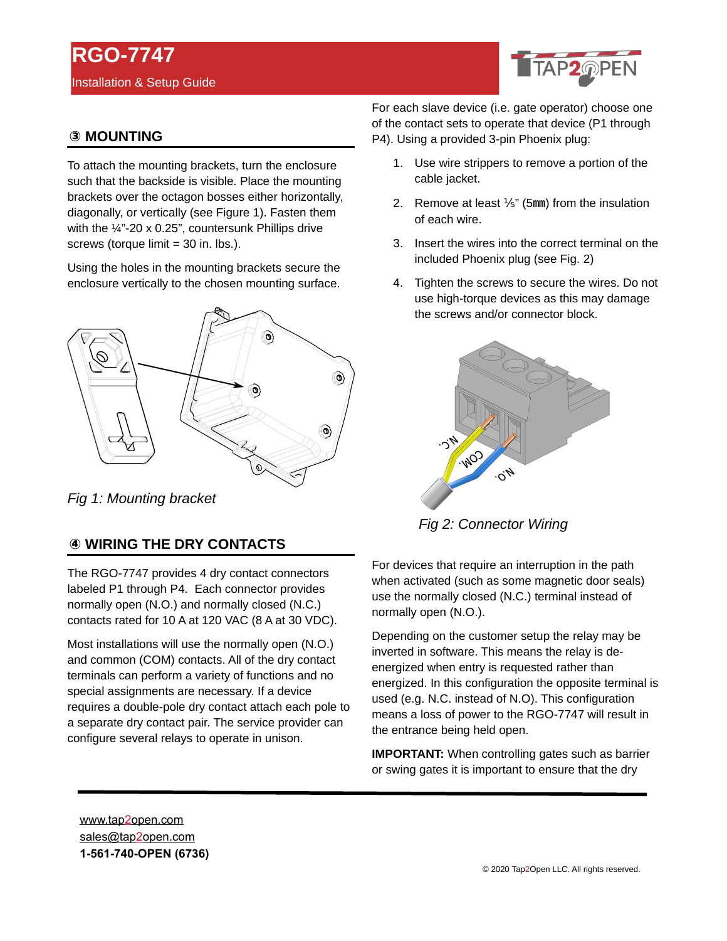# **RGO-7747** Installation & Setup Guide



# **③ MOUNTING MOUNTING**

To attach the mounting brackets, turn the enclosure such that the backside is visible. Place the mounting brackets over the octagon bosses either horizontally, diagonally, or vertically (see Figure 1). Fasten them with the  $\frac{1}{4}$ "-20 x 0.25", countersunk Phillips drive screws (torque limit = 30 in. lbs.).

Using the holes in the mounting brackets secure the enclosure vertically to the chosen mounting surface.



*Fig 1: Mounting bracket*

# **④ WIRING THE DRY CONTACTS WIRING THE DRY CONTACTS**

The RGO-7747 provides 4 dry contact connectors labeled P1 through P4. Each connector provides normally open (N.O.) and normally closed (N.C.) contacts rated for 10 A at 120 VAC (8 A at 30 VDC).

Most installations will use the normally open (N.O.) and common (COM) contacts. All of the dry contact terminals can perform a variety of functions and no special assignments are necessary. If a device requires a double-pole dry contact attach each pole to a separate dry contact pair. The service provider can configure several relays to operate in unison.

For each slave device (i.e. gate operator) choose one of the contact sets to operate that device (P1 through P4). Using a provided 3-pin Phoenix plug:

- 1. Use wire strippers to remove a portion of the cable jacket.
- 2. Remove at least  $\frac{1}{5}$ " (5mm) from the insulation of each wire.
- 3. Insert the wires into the correct terminal on the included Phoenix plug (see Fig. 2)
- 4. Tighten the screws to secure the wires. Do not use high-torque devices as this may damage the screws and/or connector block.



*Fig 2: Connector Wiring*

For devices that require an interruption in the path when activated (such as some magnetic door seals) use the normally closed (N.C.) terminal instead of normally open (N.O.).

Depending on the customer setup the relay may be inverted in software. This means the relay is deenergized when entry is requested rather than energized. In this configuration the opposite terminal is used (e.g. N.C. instead of N.O). This configuration means a loss of power to the RGO-7747 will result in the entrance being held open.

**IMPORTANT:** When controlling gates such as barrier or swing gates it is important to ensure that the dry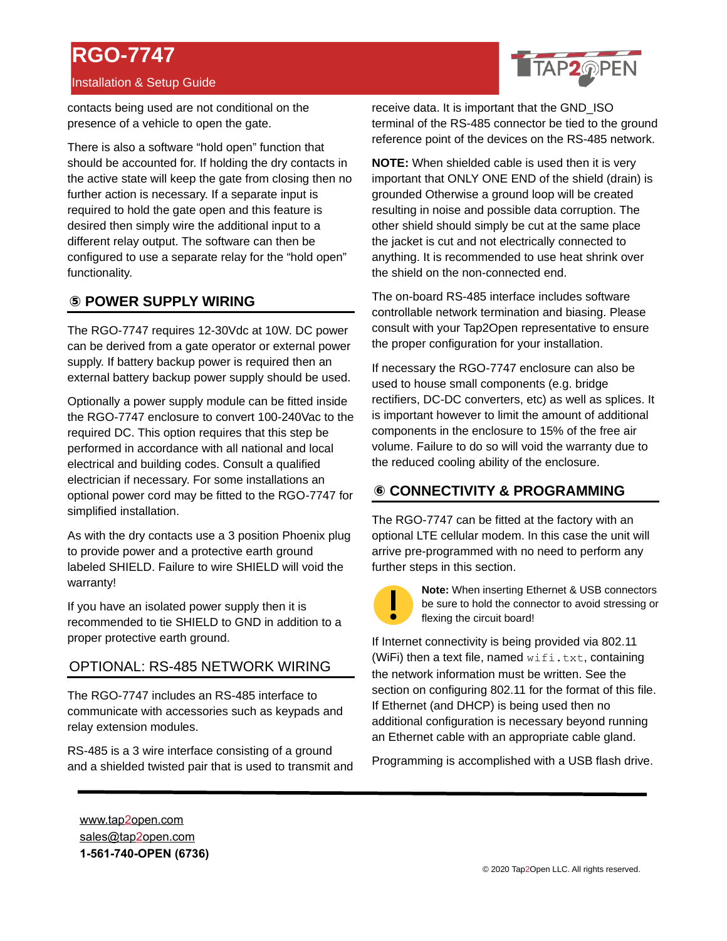# **RGO-7747**

#### Installation & Setup Guide

contacts being used are not conditional on the presence of a vehicle to open the gate.

There is also a software "hold open" function that should be accounted for. If holding the dry contacts in the active state will keep the gate from closing then no further action is necessary. If a separate input is required to hold the gate open and this feature is desired then simply wire the additional input to a different relay output. The software can then be configured to use a separate relay for the "hold open" functionality.

#### **⑤ POWER SUPPLY WIRING POWER SUPPLY WIRING**

The RGO-7747 requires 12-30Vdc at 10W. DC power can be derived from a gate operator or external power supply. If battery backup power is required then an external battery backup power supply should be used.

Optionally a power supply module can be fitted inside the RGO-7747 enclosure to convert 100-240Vac to the required DC. This option requires that this step be performed in accordance with all national and local electrical and building codes. Consult a qualified electrician if necessary. For some installations an optional power cord may be fitted to the RGO-7747 for simplified installation.

As with the dry contacts use a 3 position Phoenix plug to provide power and a protective earth ground labeled SHIELD. Failure to wire SHIELD will void the warranty!

If you have an isolated power supply then it is recommended to tie SHIELD to GND in addition to a proper protective earth ground.

#### OPTIONAL: RS-485 NETWORK WIRING

The RGO-7747 includes an RS-485 interface to communicate with accessories such as keypads and relay extension modules.

RS-485 is a 3 wire interface consisting of a ground and a shielded twisted pair that is used to transmit and



**NOTE:** When shielded cable is used then it is very important that ONLY ONE END of the shield (drain) is grounded Otherwise a ground loop will be created resulting in noise and possible data corruption. The other shield should simply be cut at the same place the jacket is cut and not electrically connected to anything. It is recommended to use heat shrink over the shield on the non-connected end.

The on-board RS-485 interface includes software controllable network termination and biasing. Please consult with your Tap2Open representative to ensure the proper configuration for your installation.

If necessary the RGO-7747 enclosure can also be used to house small components (e.g. bridge rectifiers, DC-DC converters, etc) as well as splices. It is important however to limit the amount of additional components in the enclosure to 15% of the free air volume. Failure to do so will void the warranty due to the reduced cooling ability of the enclosure.

# **⑥ CONNECTIVITY & PROGRAMMING CONNECTIVITY & PROGRAMMING**

The RGO-7747 can be fitted at the factory with an optional LTE cellular modem. In this case the unit will arrive pre-programmed with no need to perform any further steps in this section.



**Note:** When inserting Ethernet & USB connectors be sure to hold the connector to avoid stressing or flexing the circuit board!

If Internet connectivity is being provided via 802.11 (WiFi) then a text file, named  $\text{wifi.txt}$ , containing the network information must be written. See the section on configuring 802.11 for the format of this file. If Ethernet (and DHCP) is being used then no additional configuration is necessary beyond running an Ethernet cable with an appropriate cable gland.

Programming is accomplished with a USB flash drive.

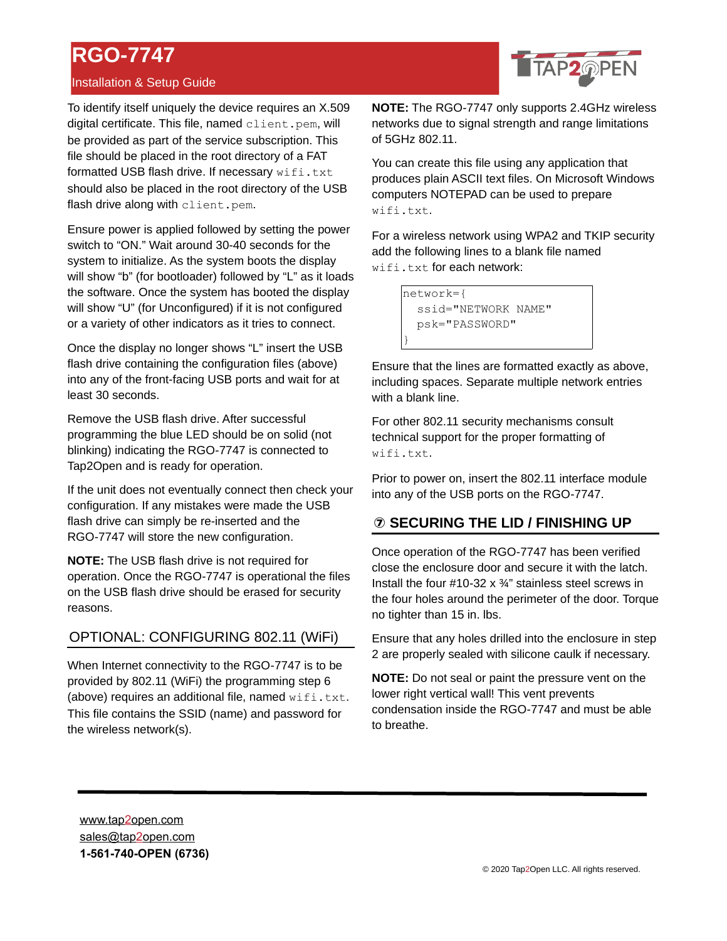# **RGO-7747**

### Installation & Setup Guide

TAP2@PEN

To identify itself uniquely the device requires an X.509 digital certificate. This file, named client.pem, will be provided as part of the service subscription. This file should be placed in the root directory of a FAT formatted USB flash drive. If necessary  $\text{wifi.txt}$ should also be placed in the root directory of the USB flash drive along with client.pem.

Ensure power is applied followed by setting the power switch to "ON." Wait around 30-40 seconds for the system to initialize. As the system boots the display will show "b" (for bootloader) followed by "L" as it loads the software. Once the system has booted the display will show "U" (for Unconfigured) if it is not configured or a variety of other indicators as it tries to connect.

Once the display no longer shows "L" insert the USB flash drive containing the configuration files (above) into any of the front-facing USB ports and wait for at least 30 seconds.

Remove the USB flash drive. After successful programming the blue LED should be on solid (not blinking) indicating the RGO-7747 is connected to Tap2Open and is ready for operation.

If the unit does not eventually connect then check your configuration. If any mistakes were made the USB flash drive can simply be re-inserted and the RGO-7747 will store the new configuration.

**NOTE:** The USB flash drive is not required for operation. Once the RGO-7747 is operational the files on the USB flash drive should be erased for security reasons.

# OPTIONAL: CONFIGURING 802.11 (WiFi)

When Internet connectivity to the RGO-7747 is to be provided by 802.11 (WiFi) the programming step 6 (above) requires an additional file, named  $\text{wifi.txt.}$ This file contains the SSID (name) and password for the wireless network(s).

**NOTE:** The RGO-7747 only supports 2.4GHz wireless networks due to signal strength and range limitations of 5GHz 802.11.

You can create this file using any application that produces plain ASCII text files. On Microsoft Windows computers NOTEPAD can be used to prepare wifi.txt.

For a wireless network using WPA2 and TKIP security add the following lines to a blank file named wifi.txt for each network:

> network={ ssid="NETWORK NAME" psk="PASSWORD" }

Ensure that the lines are formatted exactly as above, including spaces. Separate multiple network entries with a blank line.

For other 802.11 security mechanisms consult technical support for the proper formatting of wifi.txt.

Prior to power on, insert the 802.11 interface module into any of the USB ports on the RGO-7747.

# **⑦ SECURING THE LID / FINISHING UP SECURING THE LID / FINISHING UP**

Once operation of the RGO-7747 has been verified close the enclosure door and secure it with the latch. Install the four #10-32 x ¾" stainless steel screws in the four holes around the perimeter of the door. Torque no tighter than 15 in. lbs.

Ensure that any holes drilled into the enclosure in step 2 are properly sealed with silicone caulk if necessary.

**NOTE:** Do not seal or paint the pressure vent on the lower right vertical wall! This vent prevents condensation inside the RGO-7747 and must be able to breathe.